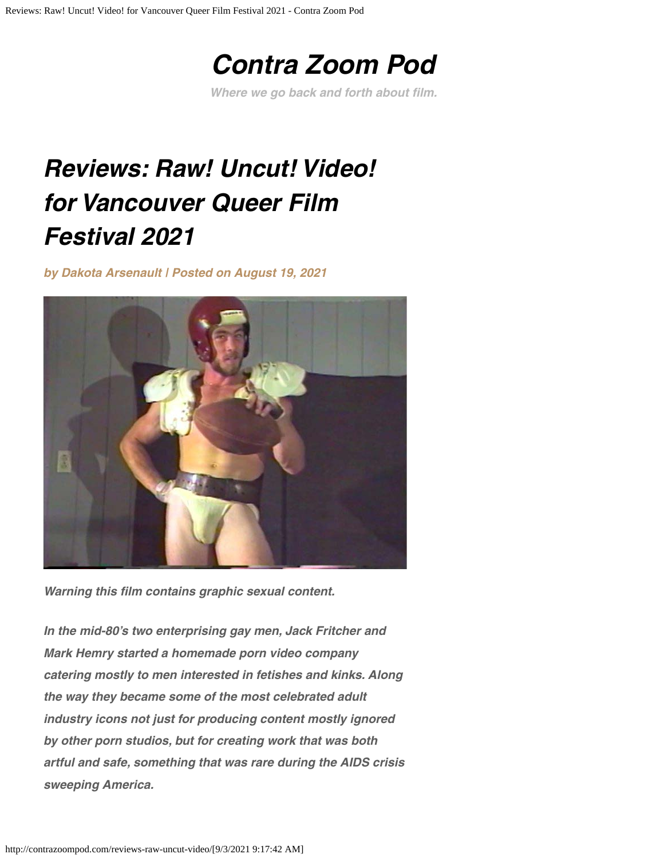# *[Contra Zoom Pod](http://contrazoompod.com/)*

*Where we go back and forth about flm.*

# <span id="page-0-0"></span>*Reviews: Raw! Uncut! Video! for Vancouver Queer Film Festival 2021*

*by [Dakota Arsenault](http://contrazoompod.com/author/dakota-arsenault/) | Posted on [August 19, 2021](#page-0-0)*



*Warning this flm contains graphic sexual content.*

*In the mid-80's two enterprising gay men, Jack Fritcher and Mark Hemry started a homemade porn video company catering mostly to men interested in fetishes and kinks. Along the way they became some of the most celebrated adult industry icons not just for producing content mostly ignored by other porn studios, but for creating work that was both artful and safe, something that was rare during the AIDS crisis sweeping America.*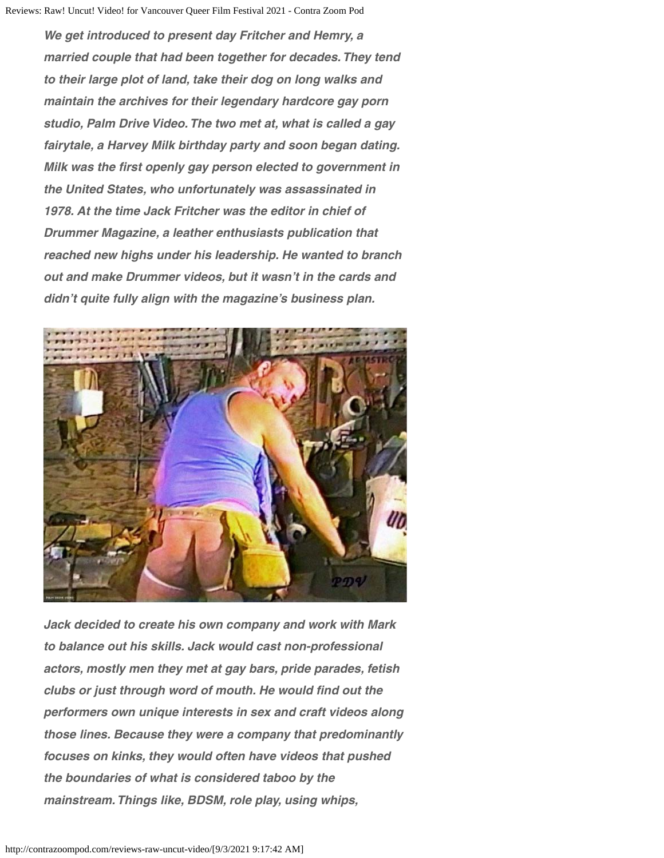*We get introduced to present day Fritcher and Hemry, a married couple that had been together for decades. They tend to their large plot of land, take their dog on long walks and maintain the archives for their legendary hardcore gay porn studio, Palm Drive Video. The two met at, what is called a gay fairytale, a Harvey Milk birthday party and soon began dating. Milk was the frst openly gay person elected to government in the United States, who unfortunately was assassinated in 1978. At the time Jack Fritcher was the editor in chief of Drummer Magazine, a leather enthusiasts publication that reached new highs under his leadership. He wanted to branch out and make Drummer videos, but it wasn't in the cards and didn't quite fully align with the magazine's business plan.*



*Jack decided to create his own company and work with Mark to balance out his skills. Jack would cast non-professional actors, mostly men they met at gay bars, pride parades, fetish* clubs or just through word of mouth. He would find out the *performers own unique interests in sex and craft videos along those lines. Because they were a company that predominantly focuses on kinks, they would often have videos that pushed the boundaries of what is considered taboo by the mainstream. Things like, BDSM, role play, using whips,*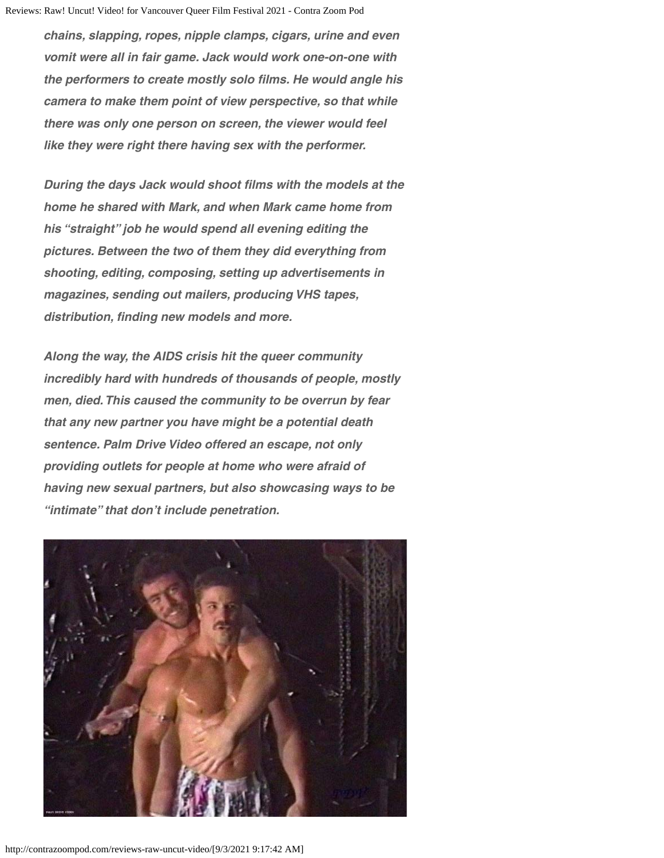*chains, slapping, ropes, nipple clamps, cigars, urine and even vomit were all in fair game. Jack would work one-on-one with the performers to create mostly solo flms. He would angle his camera to make them point of view perspective, so that while there was only one person on screen, the viewer would feel like they were right there having sex with the performer.*

*During the days Jack would shoot flms with the models at the home he shared with Mark, and when Mark came home from his "straight" job he would spend all evening editing the pictures. Between the two of them they did everything from shooting, editing, composing, setting up advertisements in magazines, sending out mailers, producing VHS tapes, distribution, fnding new models and more.*

*Along the way, the AIDS crisis hit the queer community incredibly hard with hundreds of thousands of people, mostly men, died. This caused the community to be overrun by fear that any new partner you have might be a potential death sentence. Palm Drive Video offered an escape, not only providing outlets for people at home who were afraid of having new sexual partners, but also showcasing ways to be "intimate" that don't include penetration.*

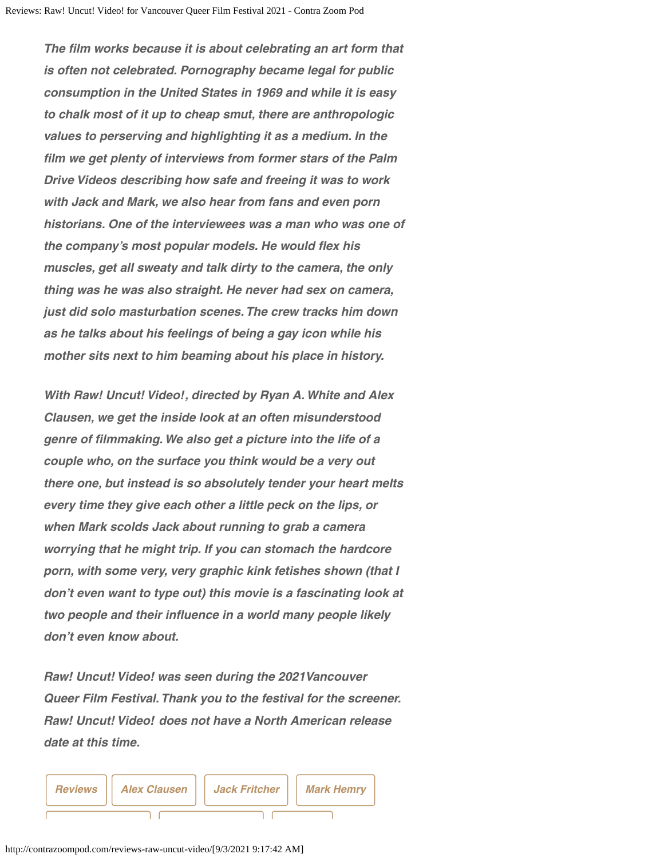*The flm works because it is about celebrating an art form that is often not celebrated. Pornography became legal for public consumption in the United States in 1969 and while it is easy to chalk most of it up to cheap smut, there are anthropologic values to perserving and highlighting it as a medium. In the flm we get plenty of interviews from former stars of the Palm Drive Videos describing how safe and freeing it was to work with Jack and Mark, we also hear from fans and even porn historians. One of the interviewees was a man who was one of the company's most popular models. He would fex his muscles, get all sweaty and talk dirty to the camera, the only thing was he was also straight. He never had sex on camera, just did solo masturbation scenes. The crew tracks him down as he talks about his feelings of being a gay icon while his mother sits next to him beaming about his place in history.*

*With Raw! Uncut! Video!, directed by Ryan A. White and Alex Clausen, we get the inside look at an often misunderstood genre of flmmaking. We also get a picture into the life of a couple who, on the surface you think would be a very out there one, but instead is so absolutely tender your heart melts every time they give each other a little peck on the lips, or when Mark scolds Jack about running to grab a camera worrying that he might trip. If you can stomach the hardcore porn, with some very, very graphic kink fetishes shown (that I don't even want to type out) this movie is a fascinating look at two people and their infuence in a world many people likely don't even know about.*

*Raw! Uncut! Video! was seen during the 2021Vancouver Queer Film Festival. Thank you to the festival for the screener. Raw! Uncut! Video! does not have a North American release date at this time.*

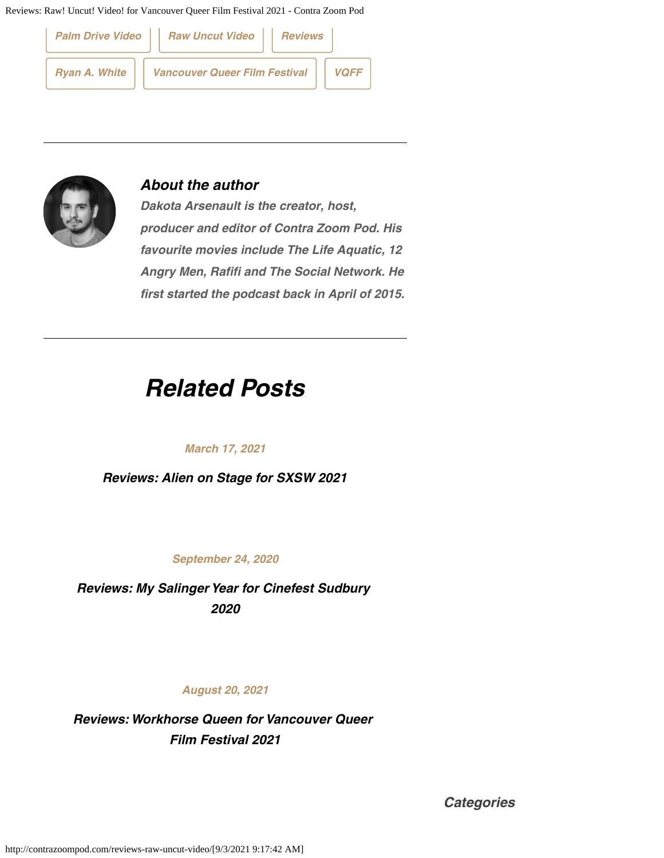Reviews: Raw! Uncut! Video! for Vancouver Queer Film Festival 2021 - Contra Zoom Pod





### *About the author*

*Dakota Arsenault is the creator, host, producer and editor of Contra Zoom Pod. His favourite movies include The Life Aquatic, 12 Angry Men, Rafifi and The Social Network. He first started the podcast back in April of 2015.*

### *Related Posts*

#### *March 17, 2021*

*[Reviews: Alien on Stage for SXSW 2021](http://contrazoompod.com/blog-capsule-review-of-alien-on-stage-for-sxsw-2021/)*

*September 24, 2020*

*[Reviews: My Salinger Year for Cinefest Sudbury](http://contrazoompod.com/blog-capsule-review-of-my-salinger-year/) [2020](http://contrazoompod.com/blog-capsule-review-of-my-salinger-year/)*

#### *August 20, 2021*

*[Reviews: Workhorse Queen for Vancouver Queer](http://contrazoompod.com/reviews-workhorse-queen-for-vancouver-queer-film-festival-2021/) [Film Festival 2021](http://contrazoompod.com/reviews-workhorse-queen-for-vancouver-queer-film-festival-2021/)*

*Categories*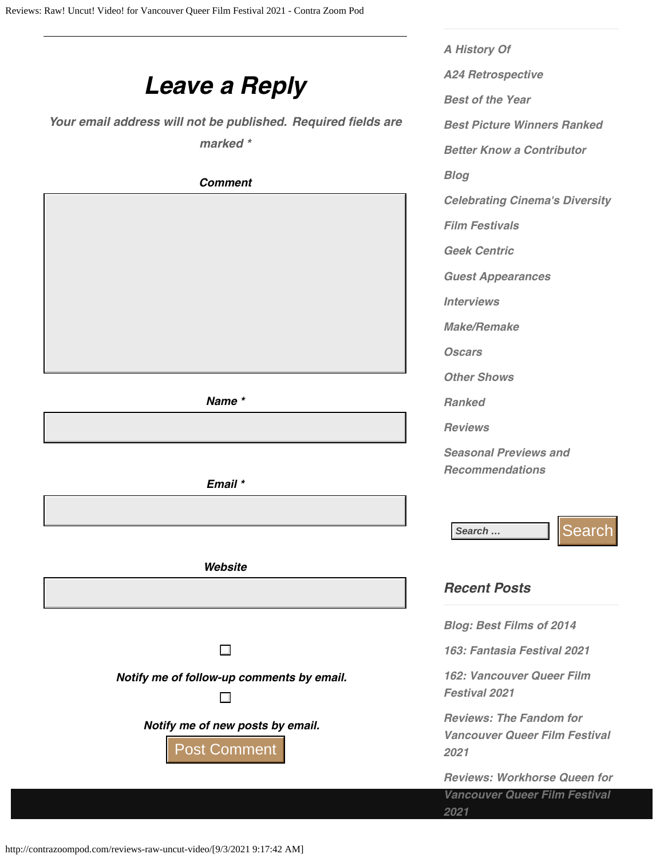## *Leave a Reply*

Your email address will not be published. Required fields are *marked \**

*Comment*

*Name \**

*Email \**

*Website*

 $\Box$ 

*Notify me of follow-up comments by email.*

 $\Box$ 

*Notify me of new posts by email.*

Post Comment

*[A History Of](http://contrazoompod.com/category/a-history-of/) [A24 Retrospective](http://contrazoompod.com/category/a24-retrospective/) [Best of the Year](http://contrazoompod.com/category/best-of-the-year/) [Best Picture Winners Ranked](http://contrazoompod.com/category/best-picture-winners-ranked/) [Better Know a Contributor](http://contrazoompod.com/category/better-know-a-contributor/) [Blog](http://contrazoompod.com/category/blog/) [Celebrating Cinema's Diversity](http://contrazoompod.com/category/celebrating-cinemas-diversity/) [Film Festivals](http://contrazoompod.com/category/film-festivals/) [Geek Centric](http://contrazoompod.com/category/geek-centric/) [Guest Appearances](http://contrazoompod.com/category/guest-appearances/) [Interviews](http://contrazoompod.com/category/interviews/) [Make/Remake](http://contrazoompod.com/category/make-remake/) [Oscars](http://contrazoompod.com/category/oscars/) [Other Shows](http://contrazoompod.com/category/other-shows/) [Ranked](http://contrazoompod.com/category/ranked/) [Reviews](http://contrazoompod.com/category/reviews/) [Seasonal Previews and](http://contrazoompod.com/category/seasonal-previews-and-recommendations/) [Recommendations](http://contrazoompod.com/category/seasonal-previews-and-recommendations/)*

Search … **Search** 

### *Recent Posts*

*[Blog: Best Films of 2014](http://contrazoompod.com/blog-best-films-of-2014/)*

*[163: Fantasia Festival 2021](http://contrazoompod.com/163-fantasia-festival-2021/)*

*[162: Vancouver Queer Film](http://contrazoompod.com/162-vancouver-queer-film-festival-2021/) [Festival 2021](http://contrazoompod.com/162-vancouver-queer-film-festival-2021/)*

*[Reviews: The Fandom for](http://contrazoompod.com/reviews-the-fandom-for-vancouver-queer-film-festival-2021/) [Vancouver Queer Film Festival](http://contrazoompod.com/reviews-the-fandom-for-vancouver-queer-film-festival-2021/) [2021](http://contrazoompod.com/reviews-the-fandom-for-vancouver-queer-film-festival-2021/)*

*[Reviews: Workhorse Queen for](http://contrazoompod.com/reviews-workhorse-queen-for-vancouver-queer-film-festival-2021/)*

*[Vancouver Queer Film Festival](http://contrazoompod.com/reviews-workhorse-queen-for-vancouver-queer-film-festival-2021/) [2021](http://contrazoompod.com/reviews-workhorse-queen-for-vancouver-queer-film-festival-2021/)*